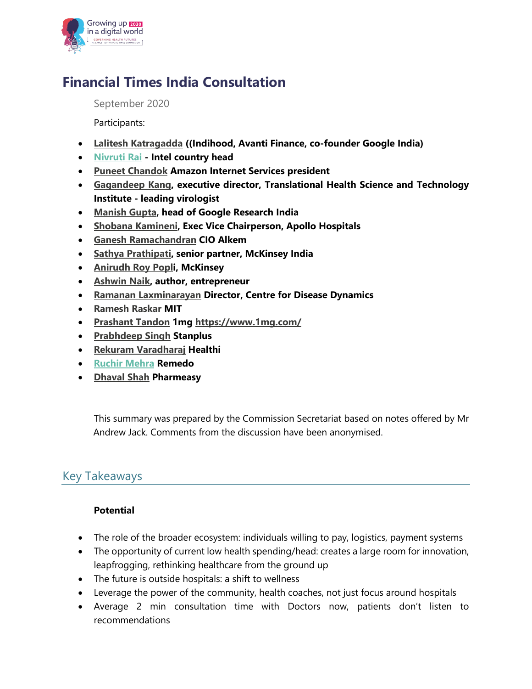

# **Financial Times India Consultation**

September 2020

Participants:

- **Lalitesh Katragadda ((Indihood, Avanti Finance, co-founder Google India)**
- **Nivruti Rai - Intel country head**
- **Puneet Chandok Amazon Internet Services president**
- **Gagandeep Kang, executive director, Translational Health Science and Technology Institute - leading virologist**
- **Manish Gupta, head of Google Research India**
- **Shobana Kamineni, Exec Vice Chairperson, Apollo Hospitals**
- **Ganesh Ramachandran CIO Alkem**
- **Sathya Prathipati, senior partner, McKinsey India**
- **Anirudh Roy Popli, McKinsey**
- **Ashwin Naik, author, entrepreneur**
- **Ramanan Laxminarayan Director, Centre for Disease Dynamics**
- **Ramesh Raskar MIT**
- **Prashant Tandon 1mg https://www.1mg.com/**
- **Prabhdeep Singh Stanplus**
- **Rekuram Varadharaj Healthi**
- **Ruchir Mehra Remedo**
- **Dhaval Shah Pharmeasy**

This summary was prepared by the Commission Secretariat based on notes offered by Mr Andrew Jack. Comments from the discussion have been anonymised.

## Key Takeaways

### **Potential**

- The role of the broader ecosystem: individuals willing to pay, logistics, payment systems
- The opportunity of current low health spending/head: creates a large room for innovation, leapfrogging, rethinking healthcare from the ground up
- The future is outside hospitals: a shift to wellness
- Leverage the power of the community, health coaches, not just focus around hospitals
- Average 2 min consultation time with Doctors now, patients don't listen to recommendations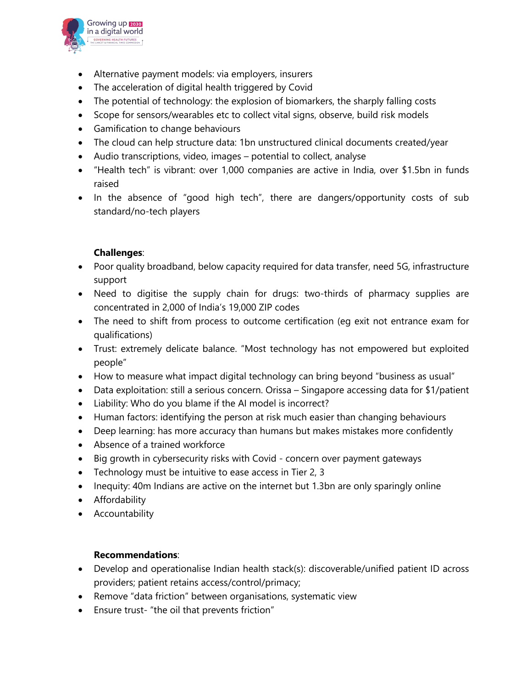

- Alternative payment models: via employers, insurers
- The acceleration of digital health triggered by Covid
- The potential of technology: the explosion of biomarkers, the sharply falling costs
- Scope for sensors/wearables etc to collect vital signs, observe, build risk models
- Gamification to change behaviours
- The cloud can help structure data: 1bn unstructured clinical documents created/year
- Audio transcriptions, video, images potential to collect, analyse
- "Health tech" is vibrant: over 1,000 companies are active in India, over \$1.5bn in funds raised
- In the absence of "good high tech", there are dangers/opportunity costs of sub standard/no-tech players

### **Challenges**:

- Poor quality broadband, below capacity required for data transfer, need 5G, infrastructure support
- Need to digitise the supply chain for drugs: two-thirds of pharmacy supplies are concentrated in 2,000 of India's 19,000 ZIP codes
- The need to shift from process to outcome certification (eg exit not entrance exam for qualifications)
- Trust: extremely delicate balance. "Most technology has not empowered but exploited people"
- How to measure what impact digital technology can bring beyond "business as usual"
- Data exploitation: still a serious concern. Orissa Singapore accessing data for \$1/patient
- Liability: Who do you blame if the AI model is incorrect?
- Human factors: identifying the person at risk much easier than changing behaviours
- Deep learning: has more accuracy than humans but makes mistakes more confidently
- Absence of a trained workforce
- Big growth in cybersecurity risks with Covid concern over payment gateways
- Technology must be intuitive to ease access in Tier 2, 3
- Inequity: 40m Indians are active on the internet but 1.3bn are only sparingly online
- Affordability
- Accountability

### **Recommendations**:

- Develop and operationalise Indian health stack(s): discoverable/unified patient ID across providers; patient retains access/control/primacy;
- Remove "data friction" between organisations, systematic view
- Ensure trust- "the oil that prevents friction"